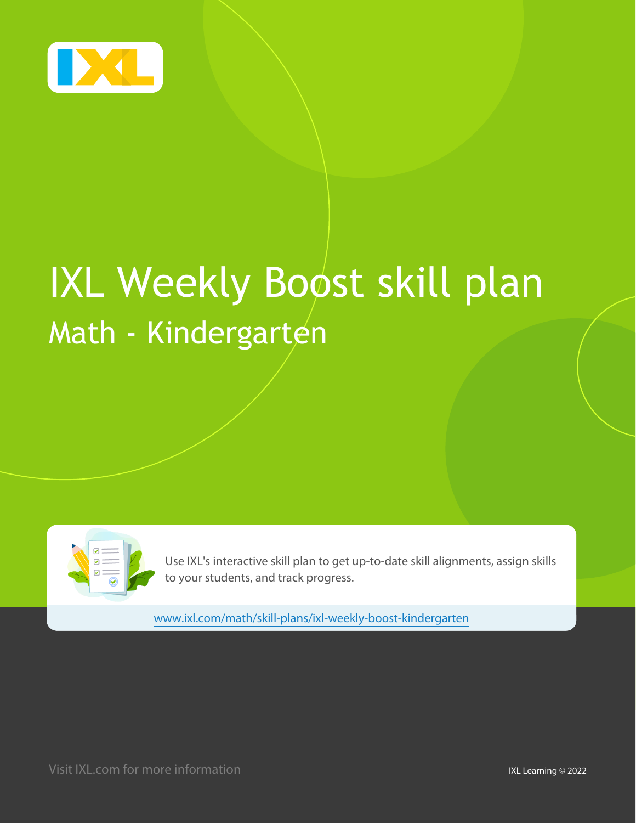

# **IXL Weekly Boost skill plan** Math - Kindergarten



Use IXL's interactive skill plan to get up-to-date skill alignments, assign skills to your students, and track progress.

www.ixl.com/math/skill-plans/ixl-weekly-boost-kindergarten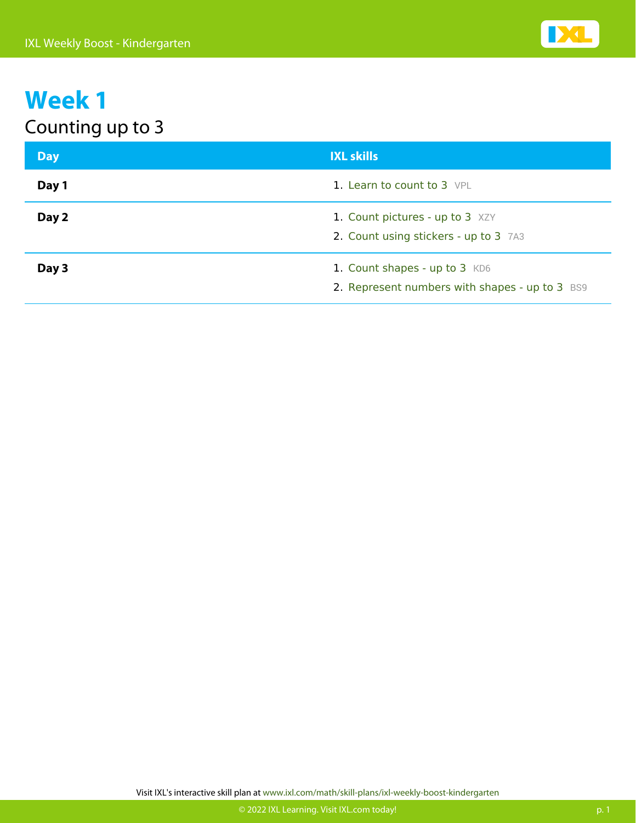| <b>Day</b> | <b>IXL skills</b>                                                               |
|------------|---------------------------------------------------------------------------------|
| Day 1      | 1. Learn to count to 3 VPL                                                      |
| Day 2      | 1. Count pictures - up to 3 XZY<br>2. Count using stickers - up to 3 7A3        |
| Day 3      | 1. Count shapes - up to 3 KD6<br>2. Represent numbers with shapes - up to 3 BS9 |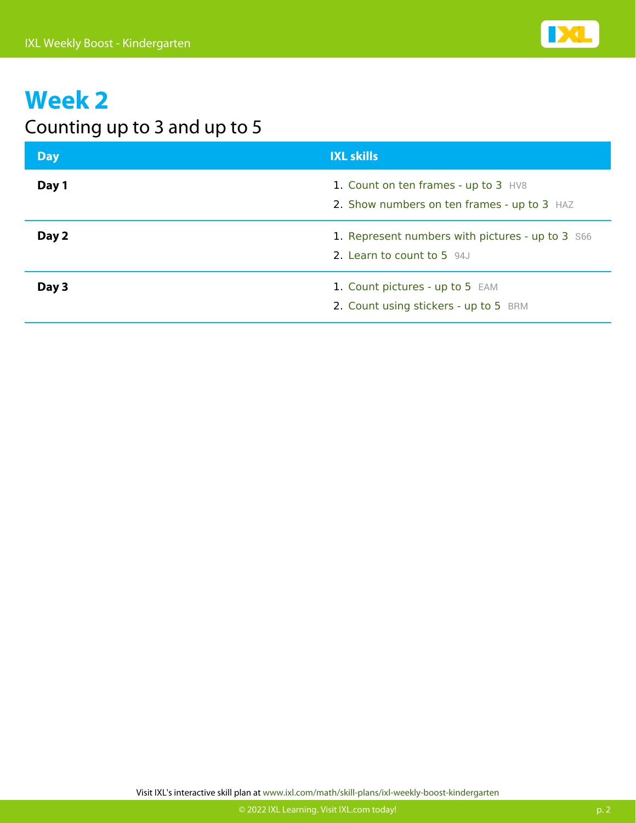

#### Counting up to 3 and up to 5

| <b>Day</b> | <b>IXL skills</b>                                                                   |
|------------|-------------------------------------------------------------------------------------|
| Day 1      | 1. Count on ten frames - up to 3 HV8<br>2. Show numbers on ten frames - up to 3 HAZ |
| Day 2      | 1. Represent numbers with pictures - up to 3 S66<br>2. Learn to count to 5 94J      |
| Day 3      | 1. Count pictures - up to 5 EAM<br>2. Count using stickers - up to 5 BRM            |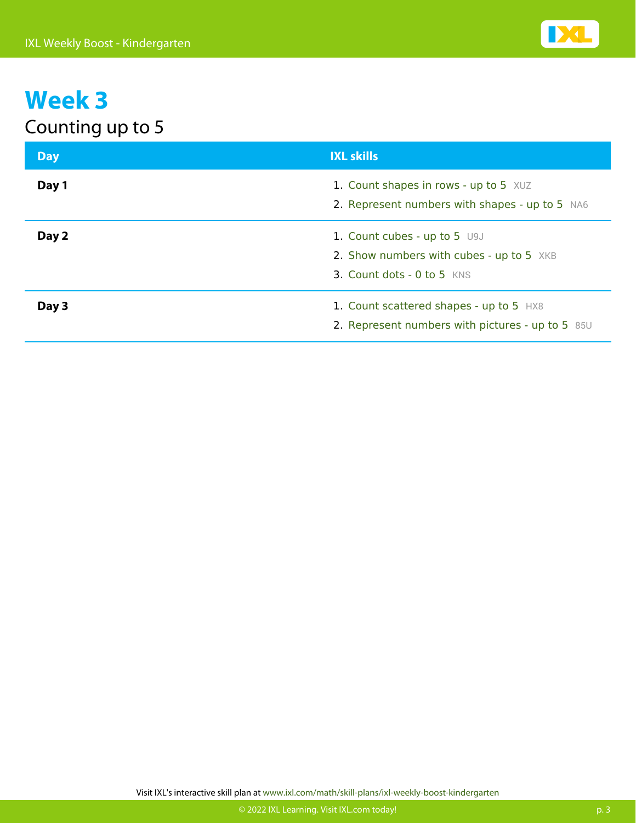| <b>Day</b> | <b>IXL skills</b>                                                                                      |
|------------|--------------------------------------------------------------------------------------------------------|
| Day 1      | 1. Count shapes in rows - up to 5 XUZ<br>2. Represent numbers with shapes - up to 5 NA6                |
| Day 2      | 1. Count cubes - up to 5 U9J<br>2. Show numbers with cubes - up to 5 XKB<br>3. Count dots - 0 to 5 KNS |
| Day 3      | 1. Count scattered shapes - up to 5 HX8<br>2. Represent numbers with pictures - up to 5 85U            |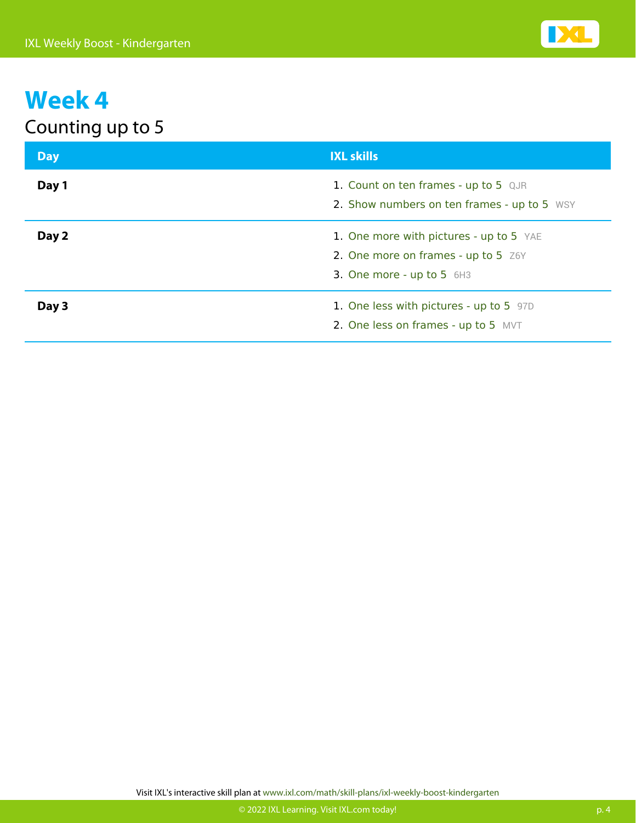| <b>Day</b> | <b>IXL skills</b>                                                                                           |
|------------|-------------------------------------------------------------------------------------------------------------|
| Day 1      | 1. Count on ten frames - up to 5 QJR<br>2. Show numbers on ten frames - up to 5 WSY                         |
| Day 2      | 1. One more with pictures - up to 5 YAE<br>2. One more on frames - up to 5 Z6Y<br>3. One more - up to 5 6H3 |
| Day 3      | 1. One less with pictures - up to 5 97D<br>2. One less on frames - up to 5 MVT                              |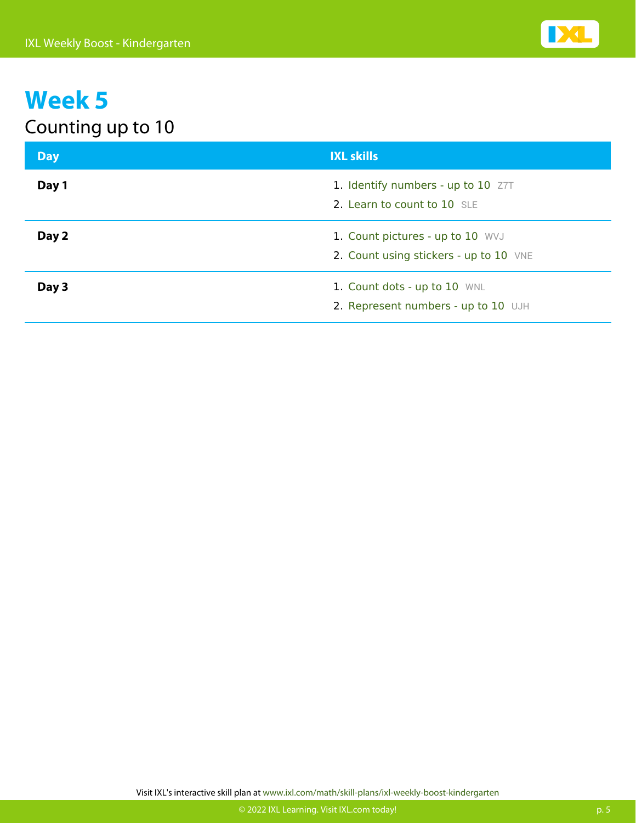| <b>Day</b> | <b>IXL skills</b>                                                          |
|------------|----------------------------------------------------------------------------|
| Day 1      | 1. Identify numbers - up to 10 Z7T<br>2. Learn to count to 10 SLE          |
| Day 2      | 1. Count pictures - up to 10 WVJ<br>2. Count using stickers - up to 10 VNE |
| Day 3      | 1. Count dots - up to 10 WNL<br>2. Represent numbers - up to 10 UJH        |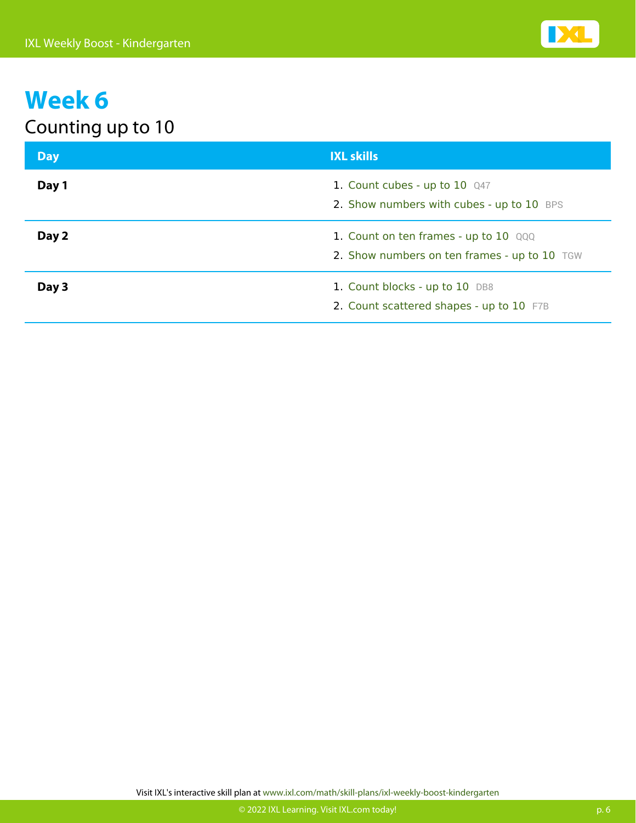| <b>Day</b> | <b>IXL skills</b>                                                                     |
|------------|---------------------------------------------------------------------------------------|
| Day 1      | 1. Count cubes - up to 10 Q47<br>2. Show numbers with cubes - up to 10 BPS            |
| Day 2      | 1. Count on ten frames - up to 10 QQQ<br>2. Show numbers on ten frames - up to 10 TGW |
| Day 3      | 1. Count blocks - up to 10 DB8<br>2. Count scattered shapes - up to 10 F7B            |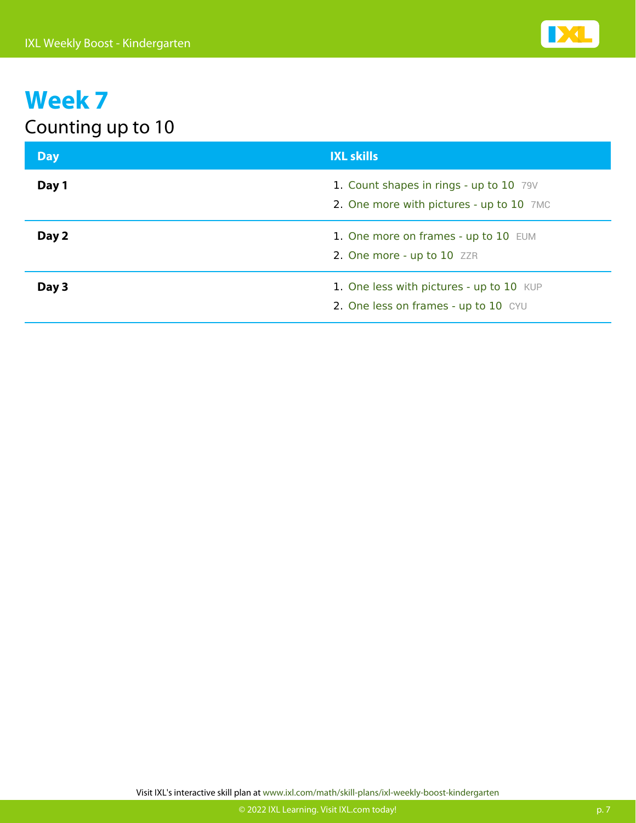| <b>Day</b> | <b>IXL skills</b>                                                                   |
|------------|-------------------------------------------------------------------------------------|
| Day 1      | 1. Count shapes in rings - up to 10 79V<br>2. One more with pictures - up to 10 7MC |
| Day 2      | 1. One more on frames - up to 10 EUM<br>2. One more - up to 10 ZZR                  |
| Day 3      | 1. One less with pictures - up to 10 KUP<br>2. One less on frames - up to 10 CYU    |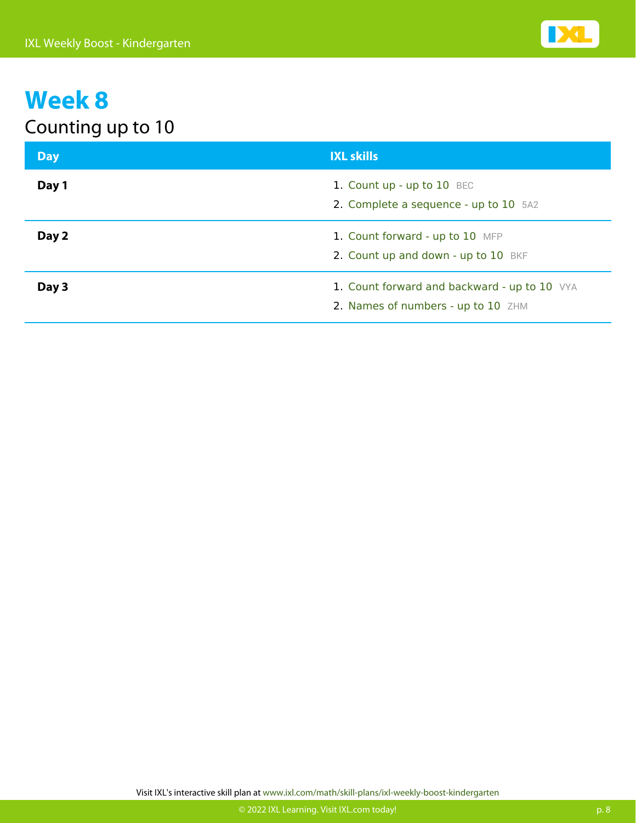| <b>Day</b> | <b>IXL skills</b>                                                                  |
|------------|------------------------------------------------------------------------------------|
| Day 1      | 1. Count up - up to 10 BEC<br>2. Complete a sequence - up to 10 5A2                |
| Day 2      | 1. Count forward - up to 10 MFP<br>2. Count up and down - up to 10 BKF             |
| Day 3      | 1. Count forward and backward - up to 10 VYA<br>2. Names of numbers - up to 10 ZHM |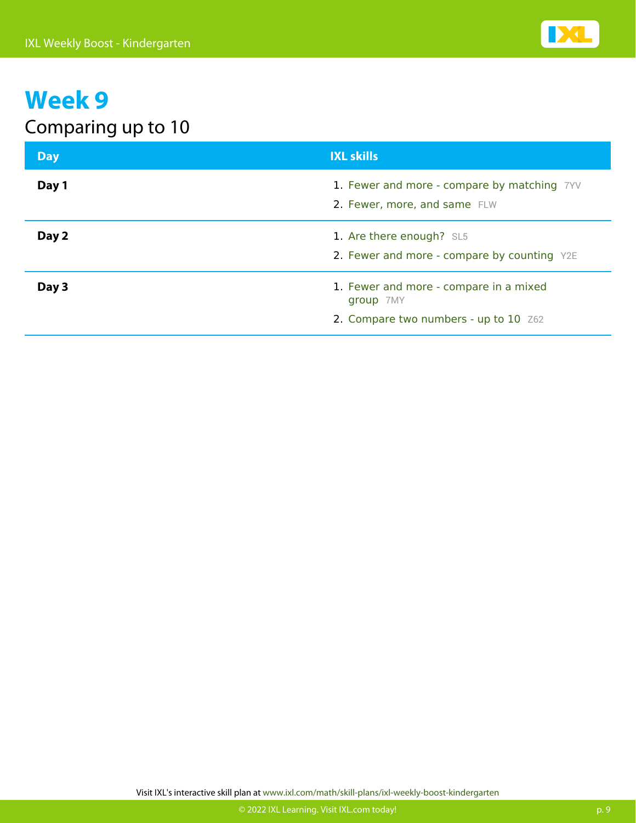### Comparing up to 10

| <b>Day</b> | <b>IXL skills</b>                                                                            |
|------------|----------------------------------------------------------------------------------------------|
| Day 1      | 1. Fewer and more - compare by matching 7YV<br>2. Fewer, more, and same FLW                  |
| Day 2      | 1. Are there enough? SL5<br>2. Fewer and more - compare by counting Y2E                      |
| Day 3      | 1. Fewer and more - compare in a mixed<br>group 7MY<br>2. Compare two numbers - up to 10 Z62 |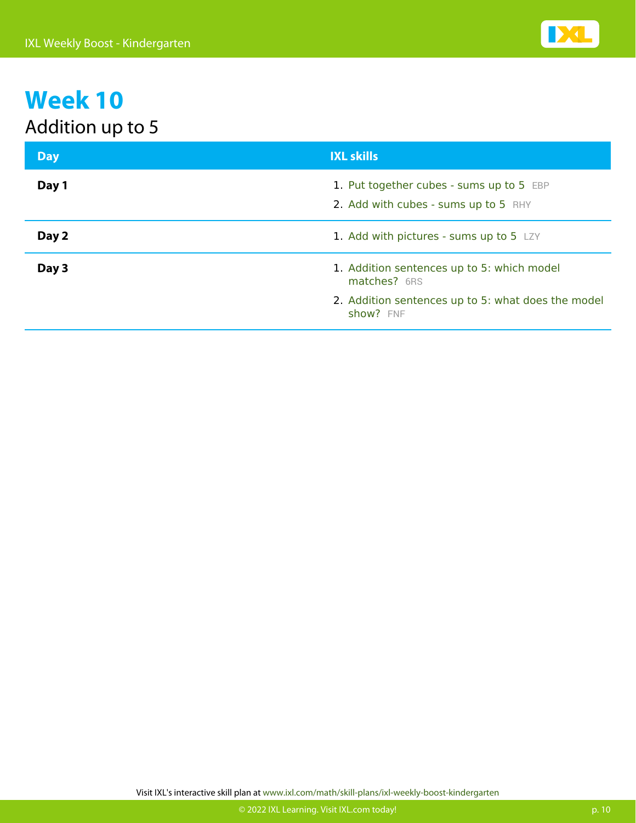| <b>Day</b> | <b>IXL skills</b>                                                                |
|------------|----------------------------------------------------------------------------------|
| Day 1      | 1. Put together cubes - sums up to 5 EBP<br>2. Add with cubes - sums up to 5 RHY |
| Day 2      | 1. Add with pictures - sums up to 5 LZY                                          |
| Day 3      | 1. Addition sentences up to 5: which model<br>matches? 6RS                       |
|            | 2. Addition sentences up to 5: what does the model<br>show? FNF                  |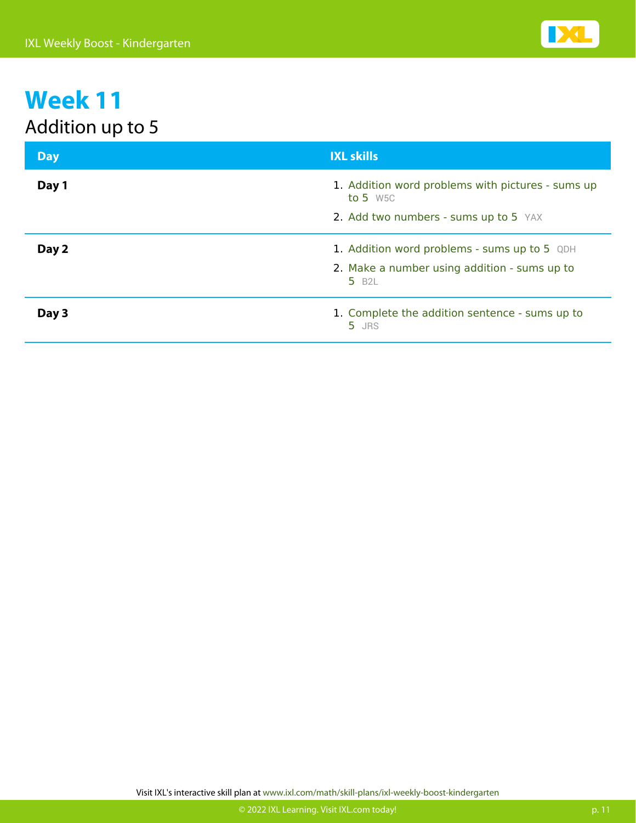| <b>Day</b> | <b>IXL skills</b>                                                  |
|------------|--------------------------------------------------------------------|
| Day 1      | 1. Addition word problems with pictures - sums up<br>to 5 $W5C$    |
|            | 2. Add two numbers - sums up to 5 YAX                              |
| Day 2      | 1. Addition word problems - sums up to 5 QDH                       |
|            | 2. Make a number using addition - sums up to<br>5 B <sub>2</sub> L |
| Day 3      | 1. Complete the addition sentence - sums up to<br>5 JRS            |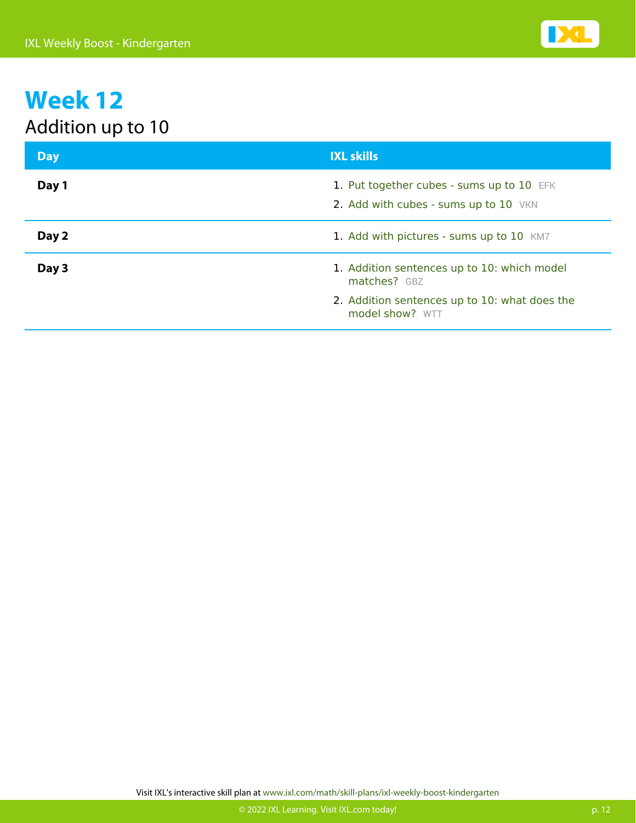| <b>Day</b> | <b>IXL skills</b>                                                                  |
|------------|------------------------------------------------------------------------------------|
| Day 1      | 1. Put together cubes - sums up to 10 EFK<br>2. Add with cubes - sums up to 10 VKN |
| Day 2      | 1. Add with pictures - sums up to 10 KM7                                           |
| Day 3      | 1. Addition sentences up to 10: which model<br>matches? GBZ                        |
|            | 2. Addition sentences up to 10: what does the<br>model show? WTT                   |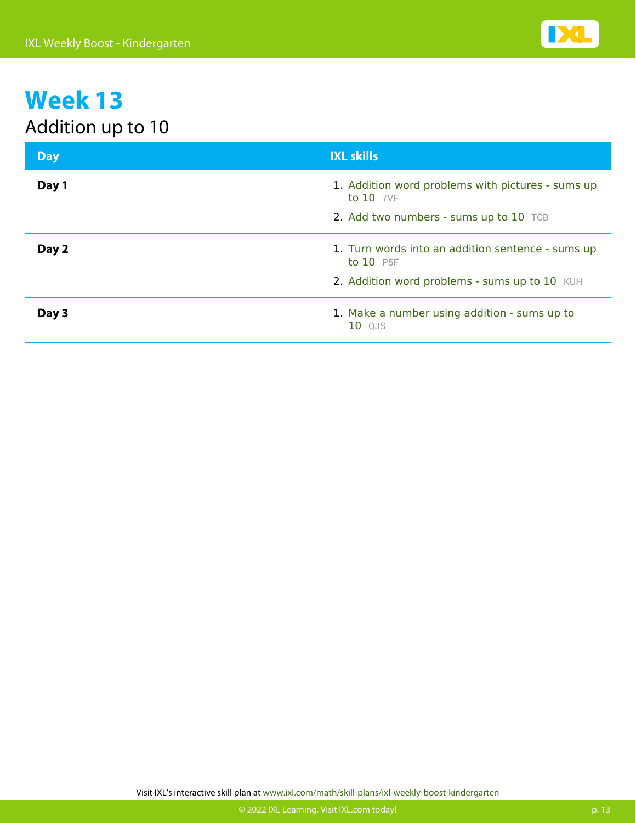| <b>Day</b> | <b>IXL skills</b>                                                  |
|------------|--------------------------------------------------------------------|
| Day 1      | 1. Addition word problems with pictures - sums up<br>to $10$ $7VF$ |
|            | 2. Add two numbers - sums up to 10 TCB                             |
| Day 2      | 1. Turn words into an addition sentence - sums up<br>to 10 P5F     |
|            | 2. Addition word problems - sums up to 10 KUH                      |
| Day 3      | 1. Make a number using addition - sums up to<br>10 QJS             |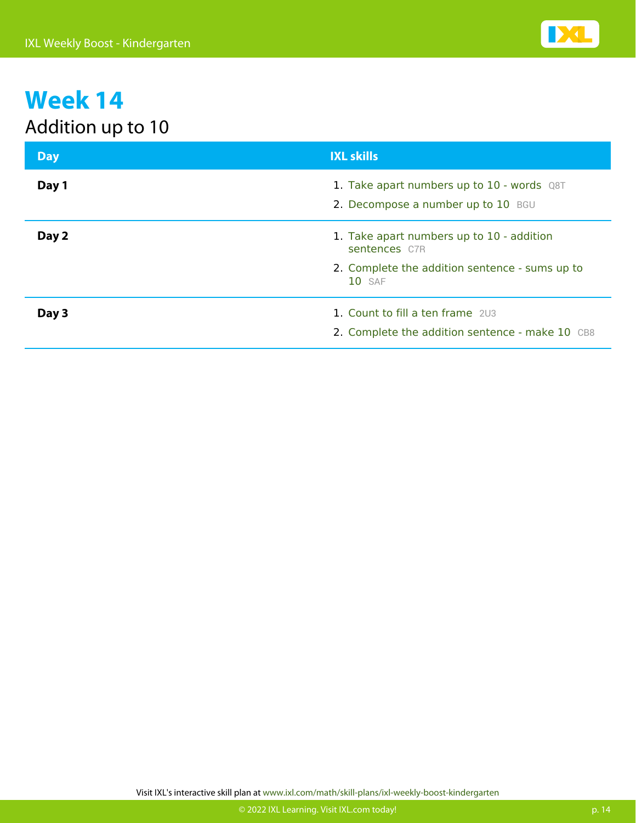| <b>Day</b> | <b>IXL skills</b>                                                                    |
|------------|--------------------------------------------------------------------------------------|
| Day 1      | 1. Take apart numbers up to $10$ - words $Q8T$<br>2. Decompose a number up to 10 BGU |
| Day 2      | 1. Take apart numbers up to 10 - addition<br>sentences C7R                           |
|            | 2. Complete the addition sentence - sums up to<br><b>10</b> SAF                      |
| Day 3      | 1. Count to fill a ten frame 203<br>2. Complete the addition sentence - make 10 CB8  |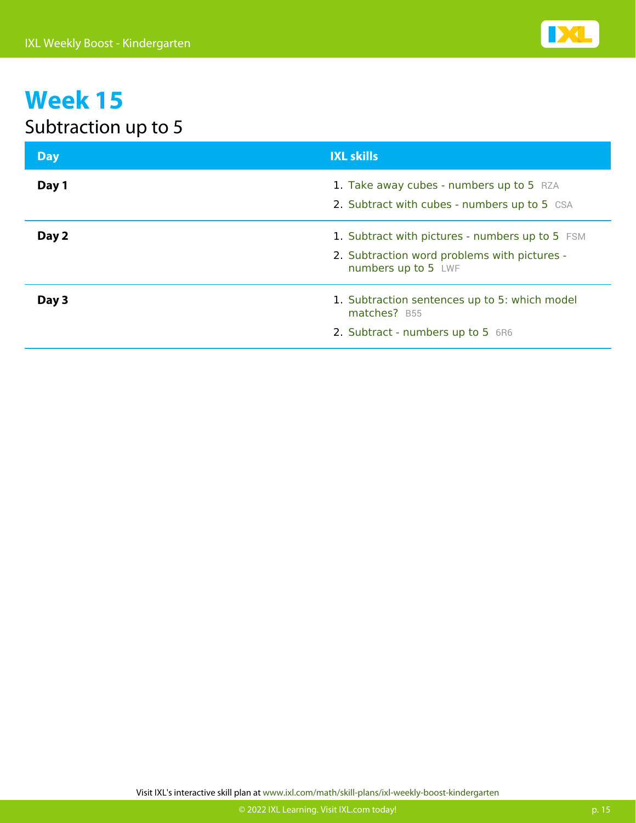### Subtraction up to 5

| <b>Day</b> | <b>IXL skills</b>                                                                                                      |
|------------|------------------------------------------------------------------------------------------------------------------------|
| Day 1      | 1. Take away cubes - numbers up to 5 RZA<br>2. Subtract with cubes - numbers up to 5 CSA                               |
| Day 2      | 1. Subtract with pictures - numbers up to 5 FSM<br>2. Subtraction word problems with pictures -<br>numbers up to 5 LWF |
| Day 3      | 1. Subtraction sentences up to 5: which model<br>matches? B55<br>2. Subtract - numbers up to 5 6R6                     |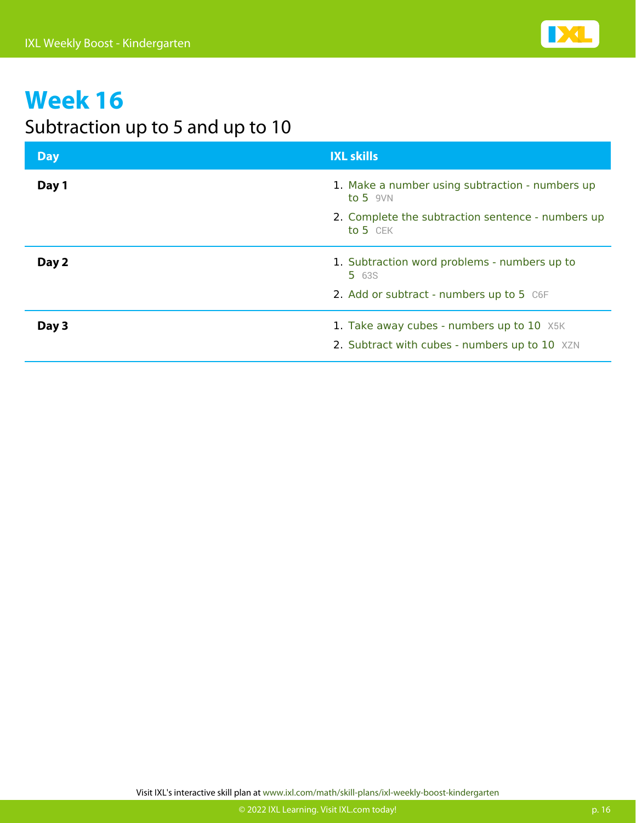

#### Subtraction up to 5 and up to 10

| <b>Day</b> | <b>IXL skills</b>                                                                          |
|------------|--------------------------------------------------------------------------------------------|
| Day 1      | 1. Make a number using subtraction - numbers up<br>to 5 $9VN$                              |
|            | 2. Complete the subtraction sentence - numbers up<br>to 5 CEK                              |
| Day 2      | 1. Subtraction word problems - numbers up to<br><b>5</b> 63S                               |
|            | 2. Add or subtract - numbers up to 5 C6F                                                   |
| Day 3      | 1. Take away cubes - numbers up to 10 X5K<br>2. Subtract with cubes - numbers up to 10 XZN |
|            |                                                                                            |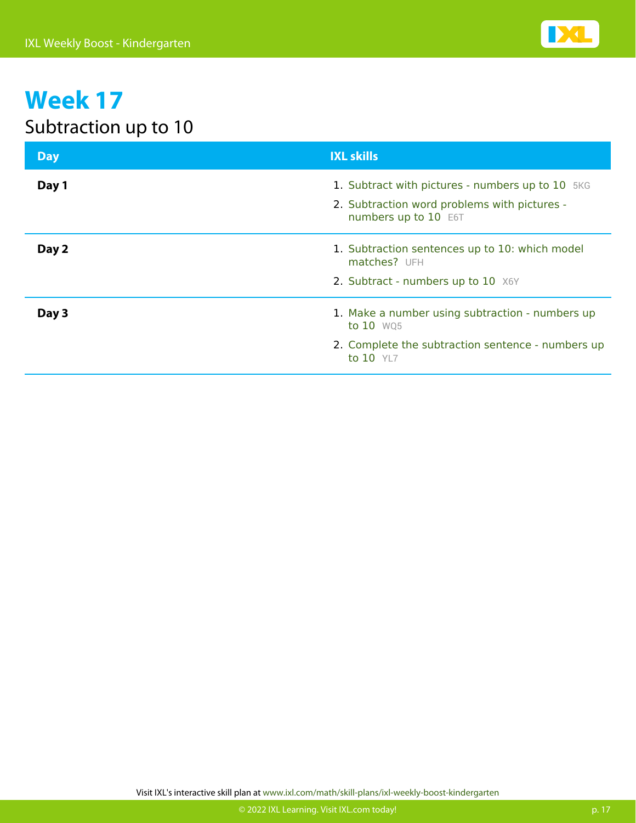### Subtraction up to 10

| <b>Day</b> | <b>IXL skills</b>                                                                                                              |
|------------|--------------------------------------------------------------------------------------------------------------------------------|
| Day 1      | 1. Subtract with pictures - numbers up to 10 5KG<br>2. Subtraction word problems with pictures -<br>numbers up to 10 E6T       |
| Day 2      | 1. Subtraction sentences up to 10: which model<br>matches? UFH<br>2. Subtract - numbers up to 10 X6Y                           |
| Day 3      | 1. Make a number using subtraction - numbers up<br>to 10 WQ5<br>2. Complete the subtraction sentence - numbers up<br>to 10 YL7 |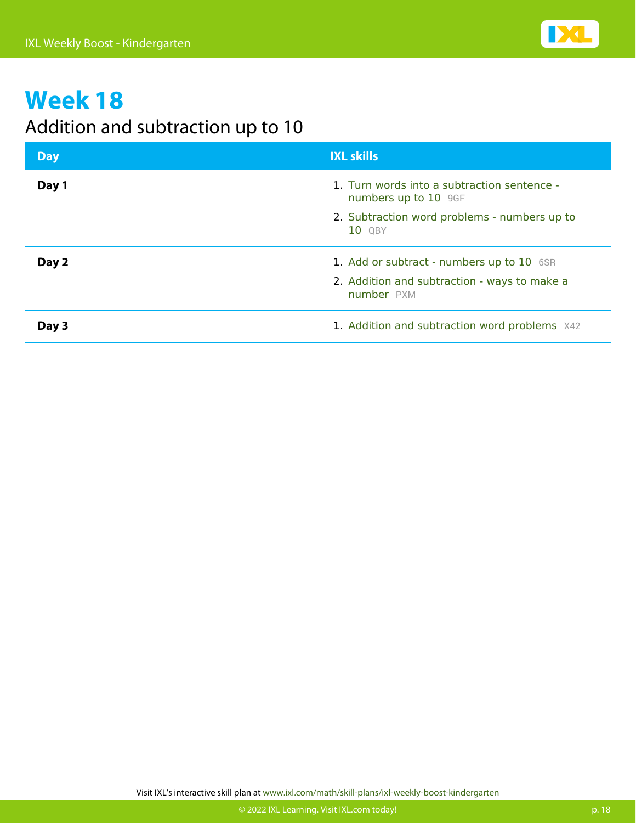

#### Addition and subtraction up to 10

| <b>Day</b> | <b>IXL skills</b>                                                   |
|------------|---------------------------------------------------------------------|
| Day 1      | 1. Turn words into a subtraction sentence -<br>numbers up to 10 9GF |
|            | 2. Subtraction word problems - numbers up to<br>10 QBY              |
| Day 2      | 1. Add or subtract - numbers up to 10 6SR                           |
|            | 2. Addition and subtraction - ways to make a<br>number PXM          |
| Day 3      | 1. Addition and subtraction word problems X42                       |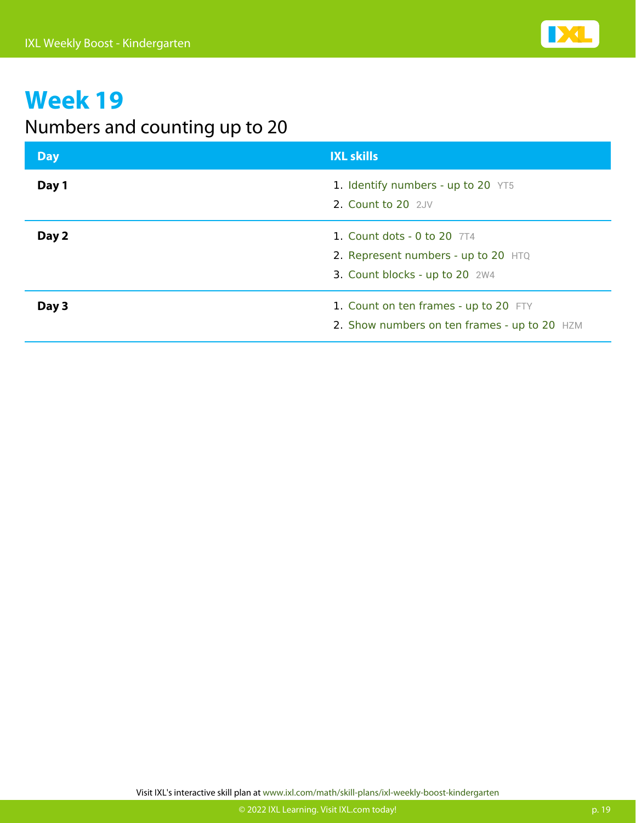

#### Numbers and counting up to 20

| <b>Day</b> | <b>IXL skills</b>                                                                                      |
|------------|--------------------------------------------------------------------------------------------------------|
| Day 1      | 1. Identify numbers - up to 20 YT5<br>2. Count to 20 2JV                                               |
| Day 2      | 1. Count dots - 0 to 20 $7T4$<br>2. Represent numbers - up to 20 HTQ<br>3. Count blocks - up to 20 2W4 |
| Day 3      | 1. Count on ten frames - up to 20 FTY<br>2. Show numbers on ten frames - up to 20 HZM                  |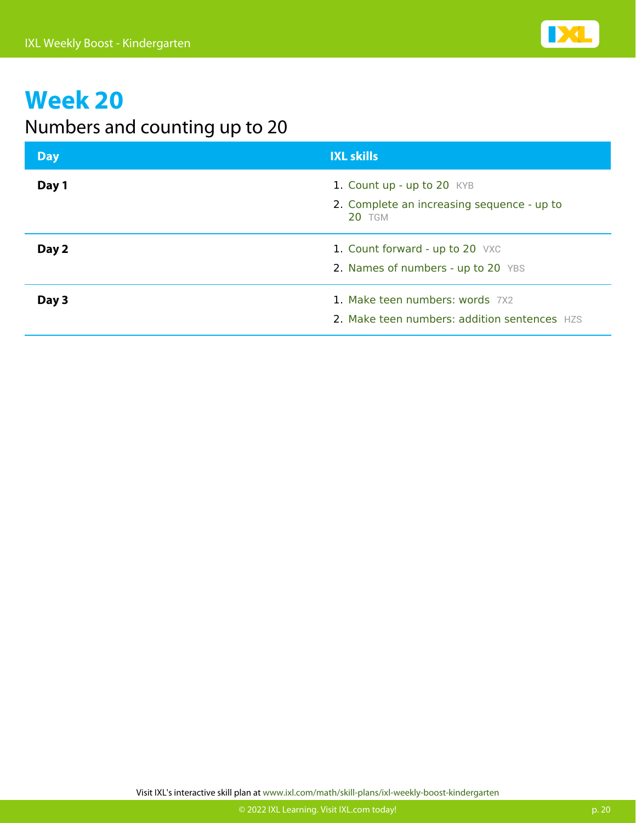

#### Numbers and counting up to 20

| <b>Day</b> | <b>IXL skills</b>                                                                         |
|------------|-------------------------------------------------------------------------------------------|
| Day 1      | 1. Count up - up to 20 KYB<br>2. Complete an increasing sequence - up to<br><b>20 TGM</b> |
| Day 2      | 1. Count forward - up to 20 VXC<br>2. Names of numbers - up to 20 YBS                     |
| Day 3      | 1. Make teen numbers: words 7X2<br>2. Make teen numbers: addition sentences HZS           |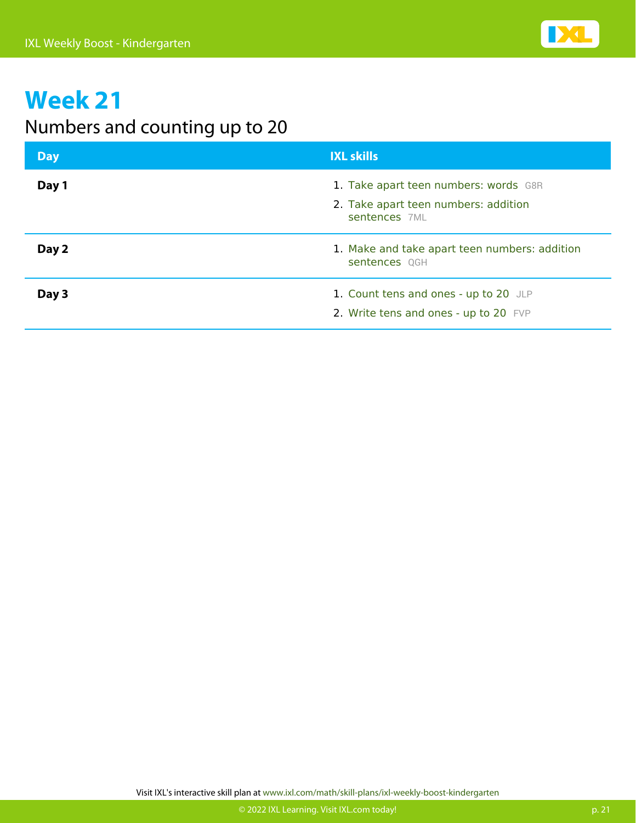

#### Numbers and counting up to 20

| <b>Day</b> | <b>IXL skills</b>                                                                              |
|------------|------------------------------------------------------------------------------------------------|
| Day 1      | 1. Take apart teen numbers: words G8R<br>2. Take apart teen numbers: addition<br>sentences 7ML |
| Day 2      | 1. Make and take apart teen numbers: addition<br>sentences QGH                                 |
| Day 3      | 1. Count tens and ones - up to 20 JLP<br>2. Write tens and ones - up to 20 FVP                 |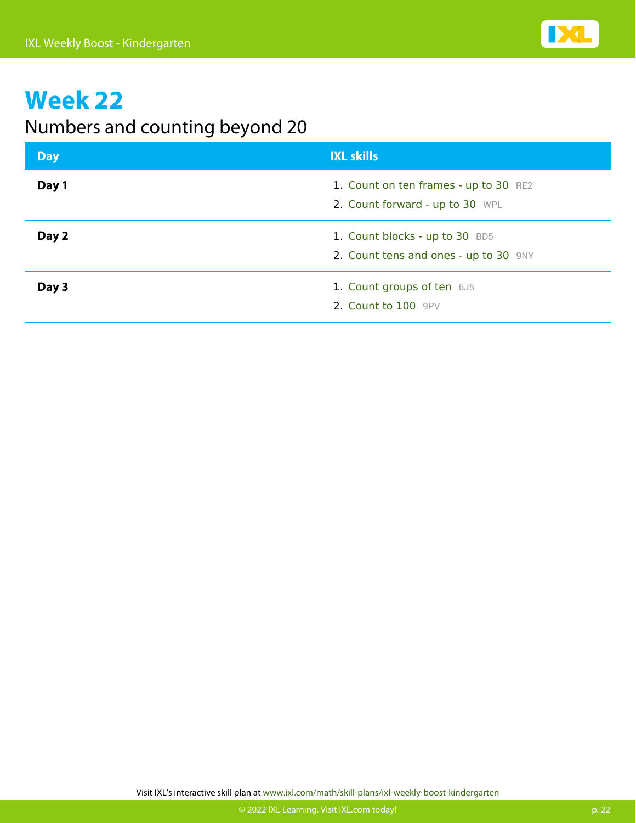

#### Numbers and counting beyond 20

| <b>Day</b> | <b>IXL skills</b>                                                        |
|------------|--------------------------------------------------------------------------|
| Day 1      | 1. Count on ten frames - up to 30 RE2<br>2. Count forward - up to 30 WPL |
| Day 2      | 1. Count blocks - up to 30 BD5<br>2. Count tens and ones - up to 30 9NY  |
| Day 3      | 1. Count groups of ten 6J5<br>2. Count to 100 9PV                        |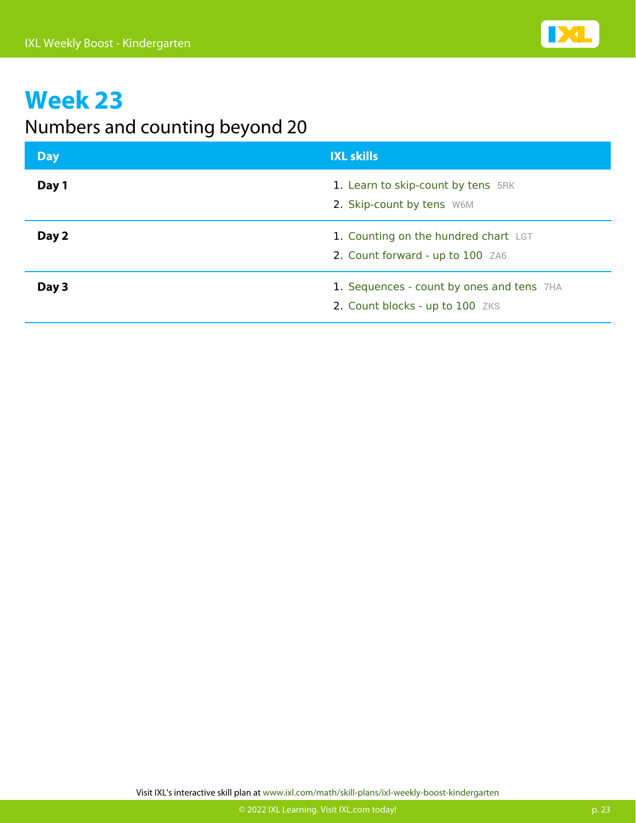

#### Numbers and counting beyond 20

| <b>Day</b> | <b>IXL skills</b>                                                            |
|------------|------------------------------------------------------------------------------|
| Day 1      | 1. Learn to skip-count by tens 5RK<br>2. Skip-count by tens W6M              |
| Day 2      | 1. Counting on the hundred chart LGT<br>2. Count forward - up to 100 ZA6     |
| Day 3      | 1. Sequences - count by ones and tens 7HA<br>2. Count blocks - up to 100 ZKS |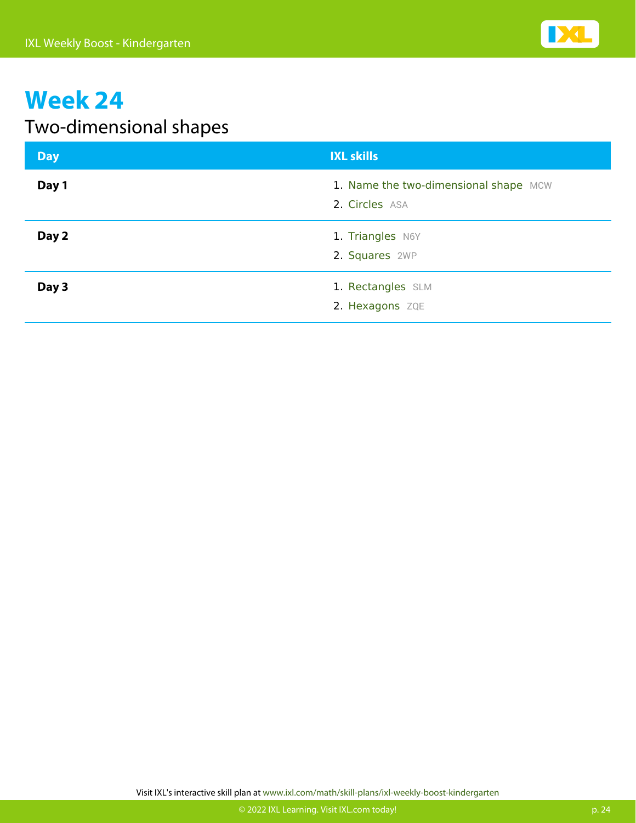### Two-dimensional shapes

| <b>Day</b> | <b>IXL skills</b>                                       |
|------------|---------------------------------------------------------|
| Day 1      | 1. Name the two-dimensional shape MCW<br>2. Circles ASA |
| Day 2      | 1. Triangles N6Y<br>2. Squares 2WP                      |
| Day 3      | 1. Rectangles SLM<br>2. Hexagons ZQE                    |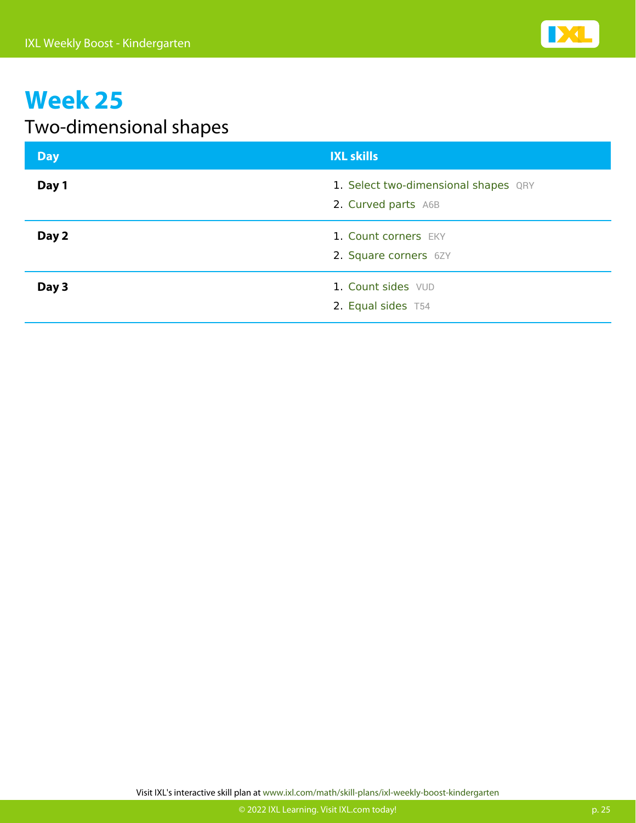### Two-dimensional shapes

| Day   | <b>IXL skills</b>                                           |
|-------|-------------------------------------------------------------|
| Day 1 | 1. Select two-dimensional shapes QRY<br>2. Curved parts A6B |
| Day 2 | 1. Count corners EKY<br>2. Square corners 6ZY               |
| Day 3 | 1. Count sides VUD<br>2. Equal sides T54                    |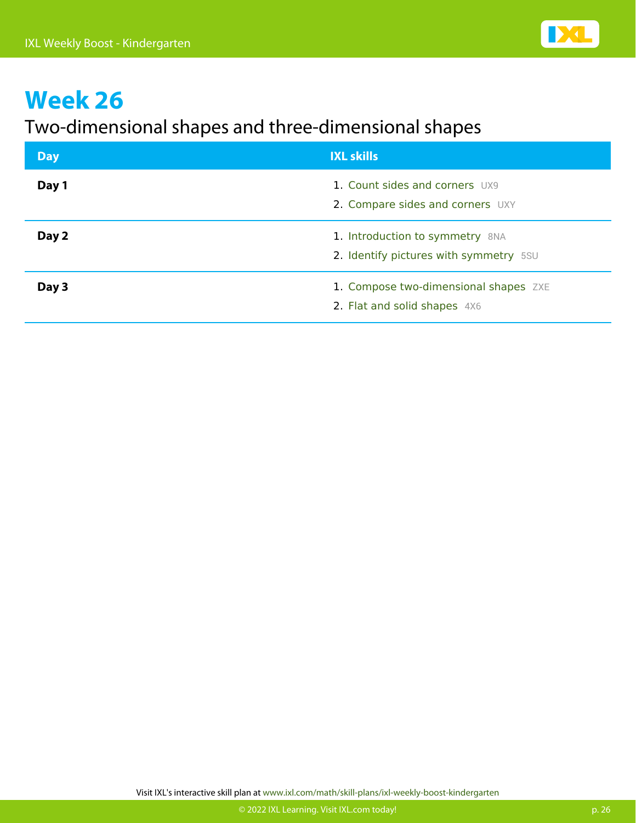#### Two-dimensional shapes and three-dimensional shapes

| <b>Day</b> | <b>IXL skills</b>                                                         |
|------------|---------------------------------------------------------------------------|
| Day 1      | 1. Count sides and corners UX9<br>2. Compare sides and corners UXY        |
| Day 2      | 1. Introduction to symmetry 8NA<br>2. Identify pictures with symmetry 5SU |
| Day 3      | 1. Compose two-dimensional shapes ZXE<br>2. Flat and solid shapes 4X6     |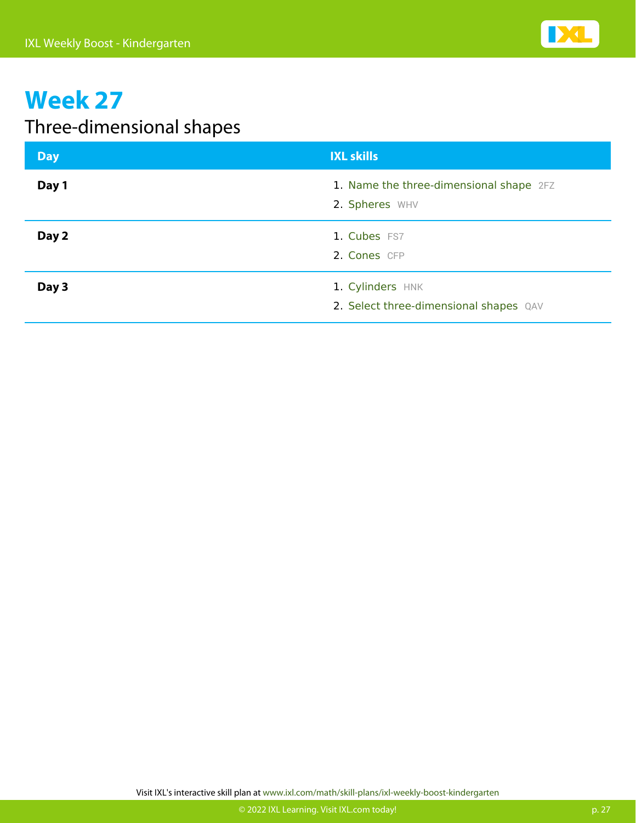### Three-dimensional shapes

| Day   | <b>IXL skills</b>                                          |
|-------|------------------------------------------------------------|
| Day 1 | 1. Name the three-dimensional shape 2FZ<br>2. Spheres WHV  |
| Day 2 | 1. Cubes FS7<br>2. Cones CFP                               |
| Day 3 | 1. Cylinders HNK<br>2. Select three-dimensional shapes QAV |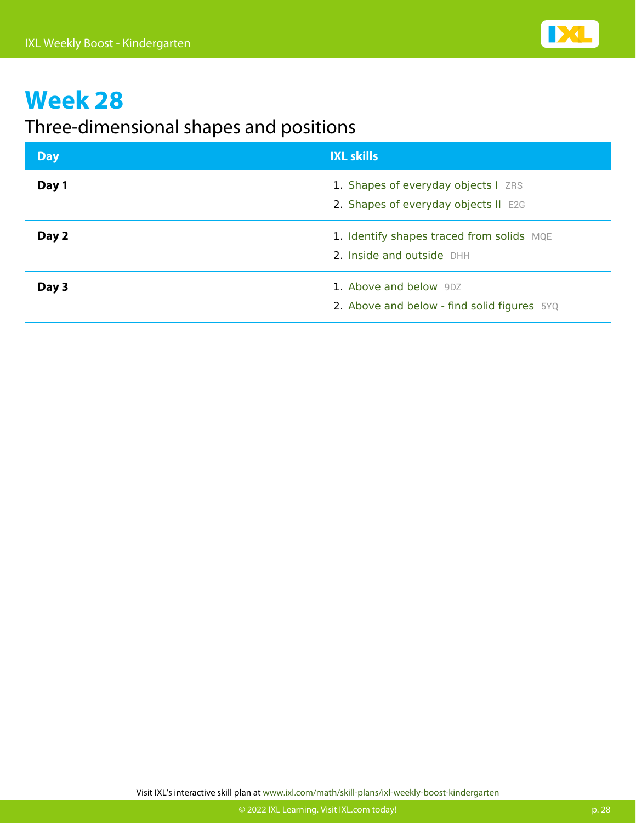#### Three-dimensional shapes and positions

| Day   | <b>IXL skills</b>                                                           |
|-------|-----------------------------------------------------------------------------|
| Day 1 | 1. Shapes of everyday objects I ZRS<br>2. Shapes of everyday objects II E2G |
| Day 2 | 1. Identify shapes traced from solids MQE<br>2. Inside and outside DHH      |
| Day 3 | 1. Above and below 9DZ<br>2. Above and below - find solid figures 5YQ       |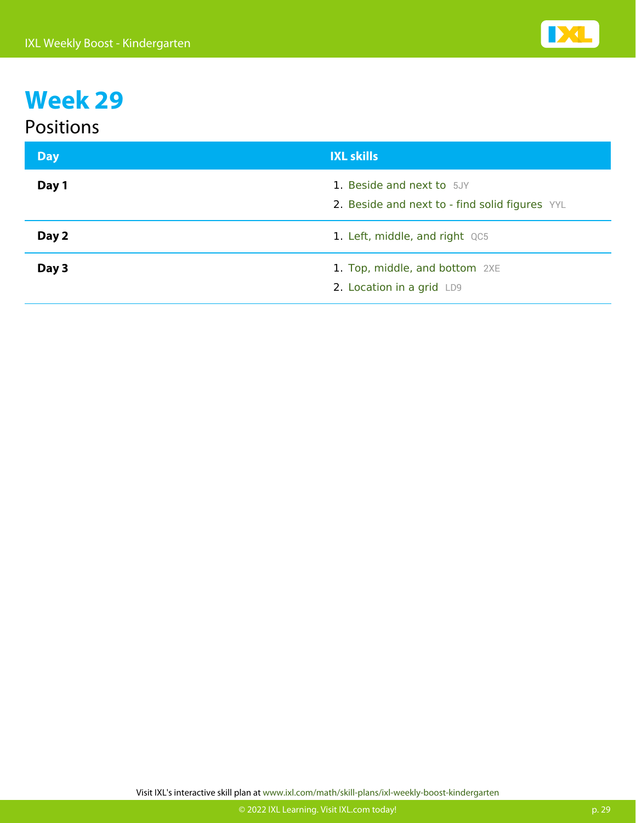#### Positions

| <b>Day</b> | <b>IXL skills</b>                                                           |
|------------|-----------------------------------------------------------------------------|
| Day 1      | 1. Beside and next to 5JY<br>2. Beside and next to - find solid figures YYL |
| Day 2      | 1. Left, middle, and right QC5                                              |
| Day 3      | 1. Top, middle, and bottom 2XE<br>2. Location in a grid LD9                 |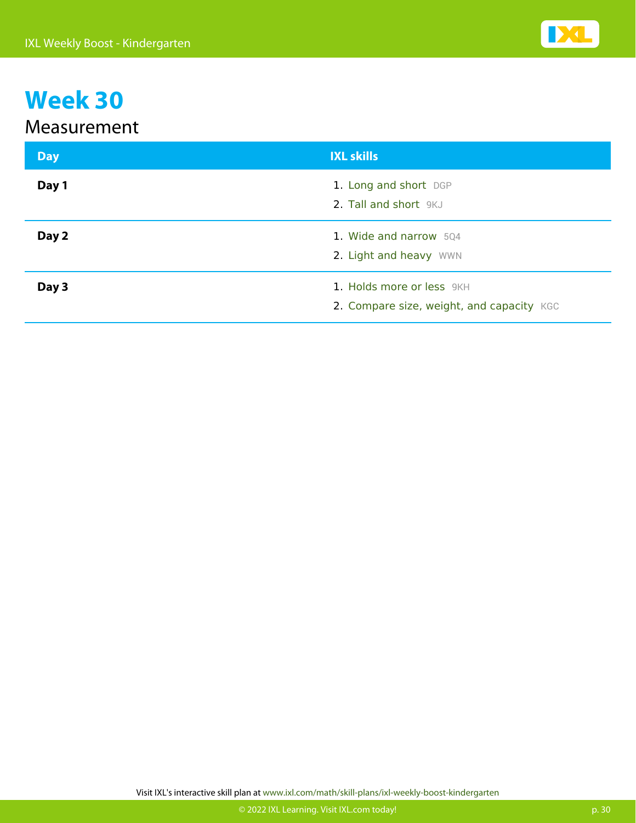#### Measurement

| <b>Day</b> | <b>IXL skills</b>                                                      |
|------------|------------------------------------------------------------------------|
| Day 1      | 1. Long and short DGP<br>2. Tall and short 9KJ                         |
| Day 2      | 1. Wide and narrow 504<br>2. Light and heavy WWN                       |
| Day 3      | 1. Holds more or less 9KH<br>2. Compare size, weight, and capacity KGC |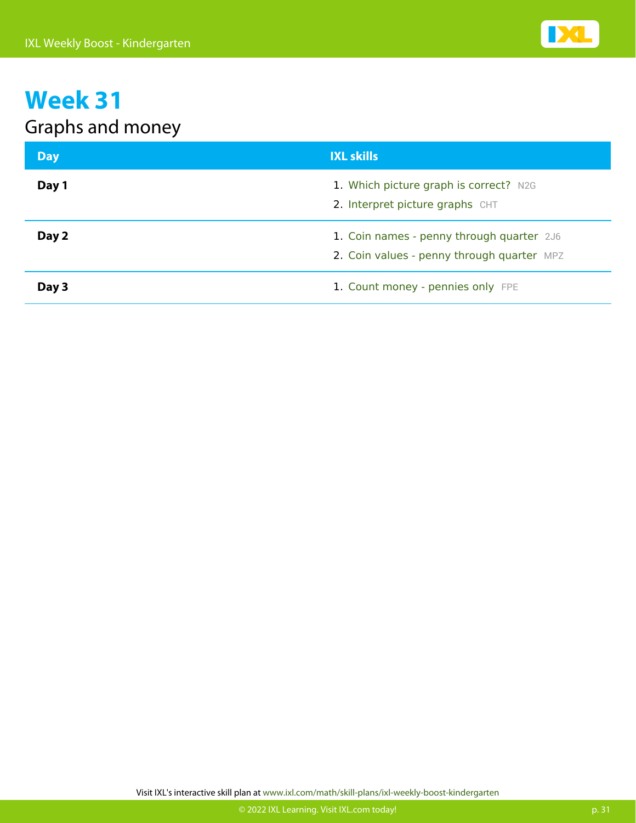### Graphs and money

| <b>Day</b> | <b>IXL skills</b>                                                                       |
|------------|-----------------------------------------------------------------------------------------|
| Day 1      | 1. Which picture graph is correct? N2G<br>2. Interpret picture graphs CHT               |
| Day 2      | 1. Coin names - penny through quarter 2J6<br>2. Coin values - penny through quarter MPZ |
| Day 3      | 1. Count money - pennies only FPE                                                       |